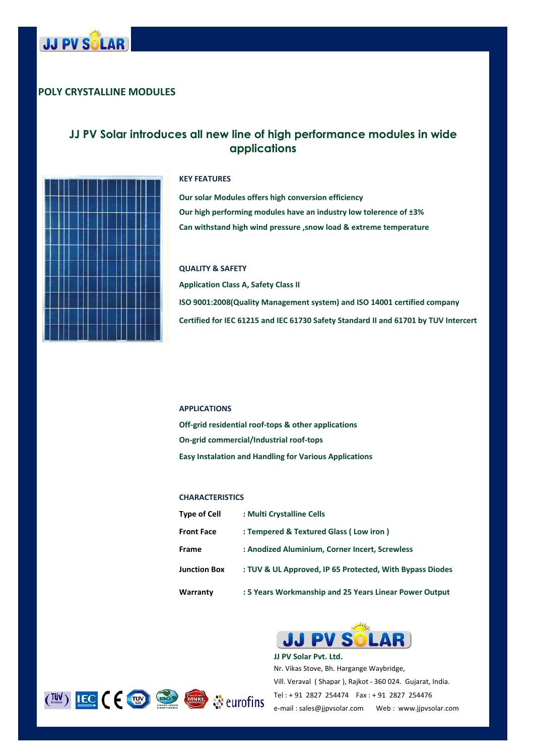

## POLY CRYSTALLINE MODULES

# JJ PV Solar introduces all new line of high performance modules in wide applications



#### KEY FEATURES

Can withstand high wind pressure ,snow load & extreme temperature Our solar Modules offers high conversion efficiency Our high performing modules have an industry low tolerence of ±3%

QUALITY & SAFETY Application Class A, Safety Class II ISO 9001:2008(Quality Management system) and ISO 14001 certified company Certified for IEC 61215 and IEC 61730 Safety Standard II and 61701 by TUV Intercert

#### APPLICATIONS

Off-grid residential roof-tops & other applications Easy Instalation and Handling for Various Applications On-grid commercial/Industrial roof-tops

### **CHARACTERISTICS**

| <b>Type of Cell</b> | : Multi Crystalline Cells                                |
|---------------------|----------------------------------------------------------|
| <b>Front Face</b>   | : Tempered & Textured Glass (Low iron)                   |
| <b>Frame</b>        | : Anodized Aluminium, Corner Incert, Screwless           |
| <b>Junction Box</b> | : TUV & UL Approved, IP 65 Protected, With Bypass Diodes |
| Warranty            | : 5 Years Workmanship and 25 Years Linear Power Output   |



Nr. Vikas Stove, Bh. Hargange Waybridge, Vill. Veraval ( Shapar ), Rajkot - 360 024. Gujarat, India. JJ PV Solar Pvt. Ltd. Tel : + 91 2827 254474 Fax : + 91 2827 254476 e-mail : sales@jjpvsolar.com Web : www.jjpvsolar.com